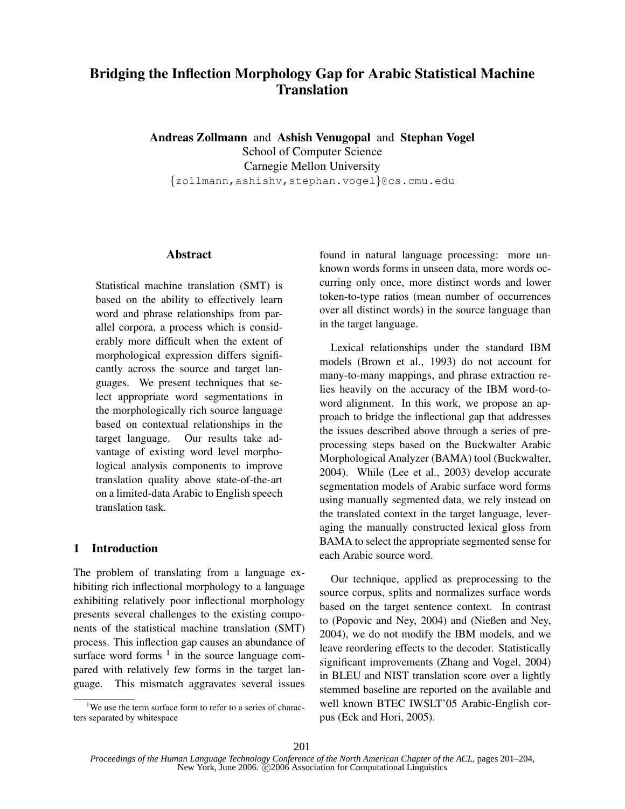# Bridging the Inflection Morphology Gap for Arabic Statistical Machine **Translation**

Andreas Zollmann and Ashish Venugopal and Stephan Vogel School of Computer Science Carnegie Mellon University *{*zollmann,ashishv,stephan.vogel*}*@cs.cmu.edu

Abstract

Statistical machine translation (SMT) is based on the ability to effectively learn word and phrase relationships from parallel corpora, a process which is considerably more difficult when the extent of morphological expression differs significantly across the source and target languages. We present techniques that select appropriate word segmentations in the morphologically rich source language based on contextual relationships in the target language. Our results take advantage of existing word level morphological analysis components to improve translation quality above state-of-the-art on a limited-data Arabic to English speech translation task.

# 1 Introduction

The problem of translating from a language exhibiting rich inflectional morphology to a language exhibiting relatively poor inflectional morphology presents several challenges to the existing components of the statistical machine translation (SMT) process. This inflection gap causes an abundance of surface word forms  $<sup>1</sup>$  in the source language com-</sup> pared with relatively few forms in the target language. This mismatch aggravates several issues found in natural language processing: more unknown words forms in unseen data, more words occurring only once, more distinct words and lower token-to-type ratios (mean number of occurrences over all distinct words) in the source language than in the target language.

Lexical relationships under the standard IBM models (Brown et al., 1993) do not account for many-to-many mappings, and phrase extraction relies heavily on the accuracy of the IBM word-toword alignment. In this work, we propose an approach to bridge the inflectional gap that addresses the issues described above through a series of preprocessing steps based on the Buckwalter Arabic Morphological Analyzer (BAMA) tool (Buckwalter, 2004). While (Lee et al., 2003) develop accurate segmentation models of Arabic surface word forms using manually segmented data, we rely instead on the translated context in the target language, leveraging the manually constructed lexical gloss from BAMA to select the appropriate segmented sense for each Arabic source word.

Our technique, applied as preprocessing to the source corpus, splits and normalizes surface words based on the target sentence context. In contrast to (Popovic and Ney, 2004) and (Nießen and Ney, 2004), we do not modify the IBM models, and we leave reordering effects to the decoder. Statistically significant improvements (Zhang and Vogel, 2004) in BLEU and NIST translation score over a lightly stemmed baseline are reported on the available and well known BTEC IWSLT'05 Arabic-English corpus (Eck and Hori, 2005).

<sup>&</sup>lt;sup>1</sup>We use the term surface form to refer to a series of characters separated by whitespace

*Proceedings of the Human Language Technology Conference of the North American Chapter of the ACL*, pages 201–204, New York, June 2006. C 2006 Association for Computational Linguistics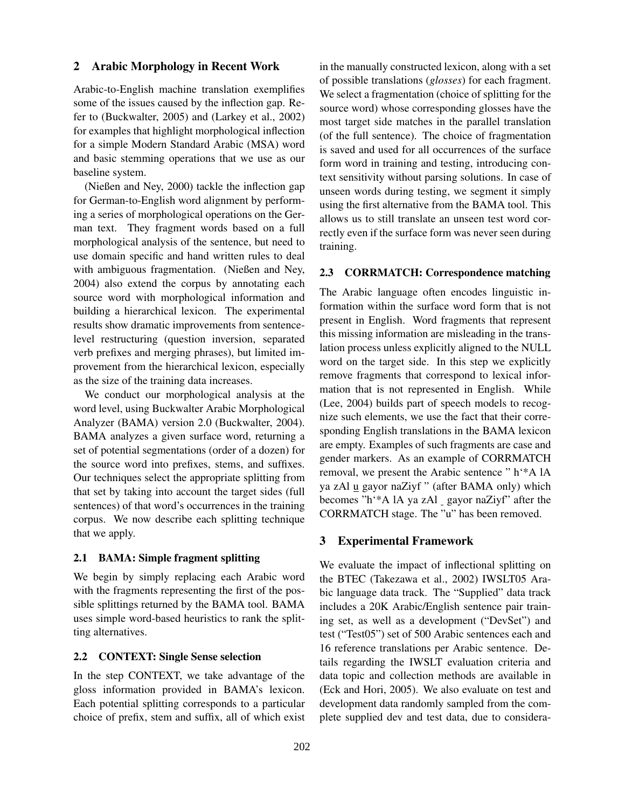## 2 Arabic Morphology in Recent Work

Arabic-to-English machine translation exemplifies some of the issues caused by the inflection gap. Refer to (Buckwalter, 2005) and (Larkey et al., 2002) for examples that highlight morphological inflection for a simple Modern Standard Arabic (MSA) word and basic stemming operations that we use as our baseline system.

(Nießen and Ney, 2000) tackle the inflection gap for German-to-English word alignment by performing a series of morphological operations on the German text. They fragment words based on a full morphological analysis of the sentence, but need to use domain specific and hand written rules to deal with ambiguous fragmentation. (Nießen and Ney, 2004) also extend the corpus by annotating each source word with morphological information and building a hierarchical lexicon. The experimental results show dramatic improvements from sentencelevel restructuring (question inversion, separated verb prefixes and merging phrases), but limited improvement from the hierarchical lexicon, especially as the size of the training data increases.

We conduct our morphological analysis at the word level, using Buckwalter Arabic Morphological Analyzer (BAMA) version 2.0 (Buckwalter, 2004). BAMA analyzes a given surface word, returning a set of potential segmentations (order of a dozen) for the source word into prefixes, stems, and suffixes. Our techniques select the appropriate splitting from that set by taking into account the target sides (full sentences) of that word's occurrences in the training corpus. We now describe each splitting technique that we apply.

## 2.1 BAMA: Simple fragment splitting

We begin by simply replacing each Arabic word with the fragments representing the first of the possible splittings returned by the BAMA tool. BAMA uses simple word-based heuristics to rank the splitting alternatives.

# 2.2 CONTEXT: Single Sense selection

In the step CONTEXT, we take advantage of the gloss information provided in BAMA's lexicon. Each potential splitting corresponds to a particular choice of prefix, stem and suffix, all of which exist in the manually constructed lexicon, along with a set of possible translations (*glosses*) for each fragment. We select a fragmentation (choice of splitting for the source word) whose corresponding glosses have the most target side matches in the parallel translation (of the full sentence). The choice of fragmentation is saved and used for all occurrences of the surface form word in training and testing, introducing context sensitivity without parsing solutions. In case of unseen words during testing, we segment it simply using the first alternative from the BAMA tool. This allows us to still translate an unseen test word correctly even if the surface form was never seen during training.

## 2.3 CORRMATCH: Correspondence matching

The Arabic language often encodes linguistic information within the surface word form that is not present in English. Word fragments that represent this missing information are misleading in the translation process unless explicitly aligned to the NULL word on the target side. In this step we explicitly remove fragments that correspond to lexical information that is not represented in English. While (Lee, 2004) builds part of speech models to recognize such elements, we use the fact that their corresponding English translations in the BAMA lexicon are empty. Examples of such fragments are case and gender markers. As an example of CORRMATCH removal, we present the Arabic sentence " h'\*A lA ya zAl u gayor naZiyf " (after BAMA only) which becomes "h'\*A lA ya zAl gayor naZiyf" after the CORRMATCH stage. The "u" has been removed.

#### 3 Experimental Framework

We evaluate the impact of inflectional splitting on the BTEC (Takezawa et al., 2002) IWSLT05 Arabic language data track. The "Supplied" data track includes a 20K Arabic/English sentence pair training set, as well as a development ("DevSet") and test ("Test05") set of 500 Arabic sentences each and 16 reference translations per Arabic sentence. Details regarding the IWSLT evaluation criteria and data topic and collection methods are available in (Eck and Hori, 2005). We also evaluate on test and development data randomly sampled from the complete supplied dev and test data, due to considera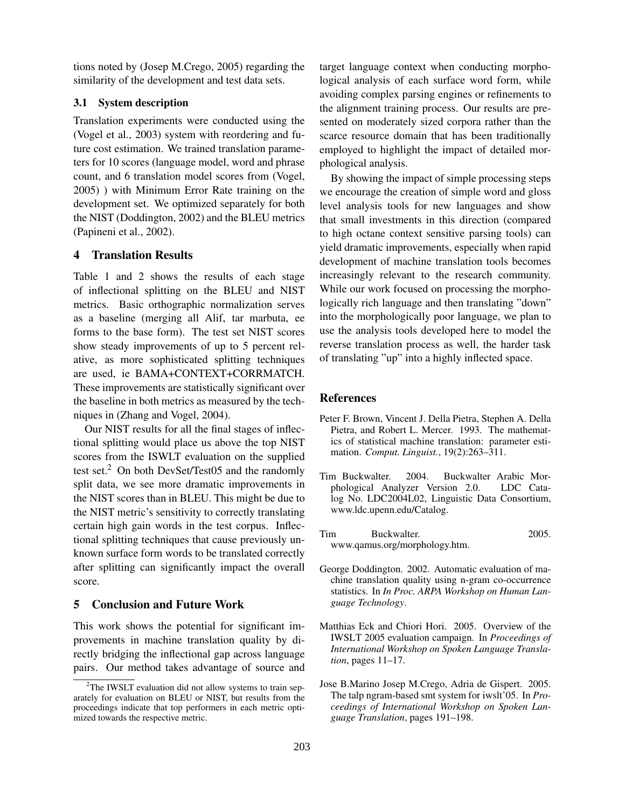tions noted by (Josep M.Crego, 2005) regarding the similarity of the development and test data sets.

# 3.1 System description

Translation experiments were conducted using the (Vogel et al., 2003) system with reordering and future cost estimation. We trained translation parameters for 10 scores (language model, word and phrase count, and 6 translation model scores from (Vogel, 2005) ) with Minimum Error Rate training on the development set. We optimized separately for both the NIST (Doddington, 2002) and the BLEU metrics (Papineni et al., 2002).

# 4 Translation Results

Table 1 and 2 shows the results of each stage of inflectional splitting on the BLEU and NIST metrics. Basic orthographic normalization serves as a baseline (merging all Alif, tar marbuta, ee forms to the base form). The test set NIST scores show steady improvements of up to 5 percent relative, as more sophisticated splitting techniques are used, ie BAMA+CONTEXT+CORRMATCH. These improvements are statistically significant over the baseline in both metrics as measured by the techniques in (Zhang and Vogel, 2004).

Our NIST results for all the final stages of inflectional splitting would place us above the top NIST scores from the ISWLT evaluation on the supplied test set. $^{2}$  On both DevSet/Test05 and the randomly split data, we see more dramatic improvements in the NIST scores than in BLEU. This might be due to the NIST metric's sensitivity to correctly translating certain high gain words in the test corpus. Inflectional splitting techniques that cause previously unknown surface form words to be translated correctly after splitting can significantly impact the overall score.

# 5 Conclusion and Future Work

This work shows the potential for significant improvements in machine translation quality by directly bridging the inflectional gap across language pairs. Our method takes advantage of source and target language context when conducting morphological analysis of each surface word form, while avoiding complex parsing engines or refinements to the alignment training process. Our results are presented on moderately sized corpora rather than the scarce resource domain that has been traditionally employed to highlight the impact of detailed morphological analysis.

By showing the impact of simple processing steps we encourage the creation of simple word and gloss level analysis tools for new languages and show that small investments in this direction (compared to high octane context sensitive parsing tools) can yield dramatic improvements, especially when rapid development of machine translation tools becomes increasingly relevant to the research community. While our work focused on processing the morphologically rich language and then translating "down" into the morphologically poor language, we plan to use the analysis tools developed here to model the reverse translation process as well, the harder task of translating "up" into a highly inflected space.

#### References

- Peter F. Brown, Vincent J. Della Pietra, Stephen A. Della Pietra, and Robert L. Mercer. 1993. The mathematics of statistical machine translation: parameter estimation. *Comput. Linguist.*, 19(2):263–311.
- Tim Buckwalter. 2004. Buckwalter Arabic Morphological Analyzer Version 2.0. LDC Catalog No. LDC2004L02, Linguistic Data Consortium, www.ldc.upenn.edu/Catalog.
- Tim Buckwalter. 2005. www.qamus.org/morphology.htm.
- George Doddington. 2002. Automatic evaluation of machine translation quality using n-gram co-occurrence statistics. In *In Proc. ARPA Workshop on Human Language Technology*.
- Matthias Eck and Chiori Hori. 2005. Overview of the IWSLT 2005 evaluation campaign. In *Proceedings of International Workshop on Spoken Language Translation*, pages 11–17.
- Jose B.Marino Josep M.Crego, Adria de Gispert. 2005. The talp ngram-based smt system for iwslt'05. In *Proceedings of International Workshop on Spoken Language Translation*, pages 191–198.

<sup>&</sup>lt;sup>2</sup>The IWSLT evaluation did not allow systems to train separately for evaluation on BLEU or NIST, but results from the proceedings indicate that top performers in each metric optimized towards the respective metric.